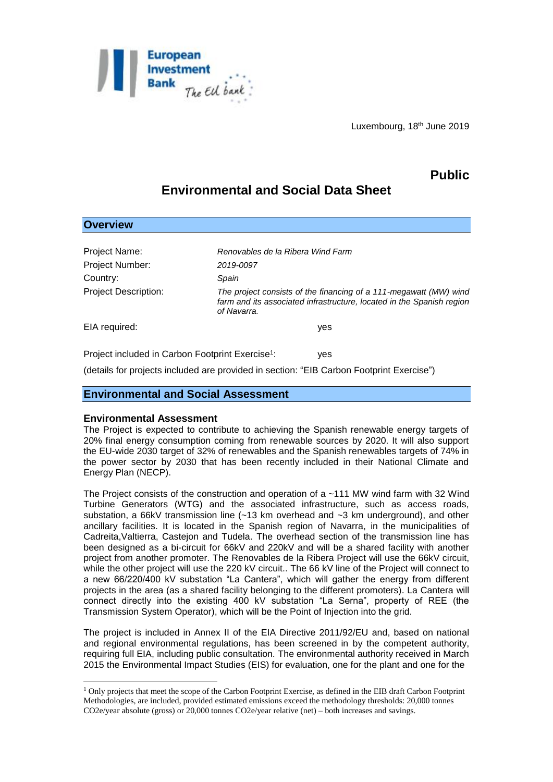

Luxembourg, 18<sup>th</sup> June 2019

# **Public**

# **Environmental and Social Data Sheet**

| <b>Overview</b>                                              |                                                                                                                                                           |
|--------------------------------------------------------------|-----------------------------------------------------------------------------------------------------------------------------------------------------------|
|                                                              |                                                                                                                                                           |
| Project Name:                                                | Renovables de la Ribera Wind Farm                                                                                                                         |
| <b>Project Number:</b>                                       | 2019-0097                                                                                                                                                 |
| Country:                                                     | Spain                                                                                                                                                     |
| <b>Project Description:</b>                                  | The project consists of the financing of a 111-megawatt (MW) wind<br>farm and its associated infrastructure, located in the Spanish region<br>of Navarra. |
| EIA required:                                                | yes                                                                                                                                                       |
| Project included in Carbon Footprint Exercise <sup>1</sup> : | yes                                                                                                                                                       |

(details for projects included are provided in section: "EIB Carbon Footprint Exercise")

#### **Environmental and Social Assessment**

#### **Environmental Assessment**

1

The Project is expected to contribute to achieving the Spanish renewable energy targets of 20% final energy consumption coming from renewable sources by 2020. It will also support the EU-wide 2030 target of 32% of renewables and the Spanish renewables targets of 74% in the power sector by 2030 that has been recently included in their National Climate and Energy Plan (NECP).

The Project consists of the construction and operation of a ~111 MW wind farm with 32 Wind Turbine Generators (WTG) and the associated infrastructure, such as access roads, substation, a 66kV transmission line (~13 km overhead and ~3 km underground), and other ancillary facilities. It is located in the Spanish region of Navarra, in the municipalities of Cadreita,Valtierra, Castejon and Tudela. The overhead section of the transmission line has been designed as a bi-circuit for 66kV and 220kV and will be a shared facility with another project from another promoter. The Renovables de la Ribera Project will use the 66kV circuit, while the other project will use the 220 kV circuit.. The 66 kV line of the Project will connect to a new 66/220/400 kV substation "La Cantera", which will gather the energy from different projects in the area (as a shared facility belonging to the different promoters). La Cantera will connect directly into the existing 400 kV substation "La Serna", property of REE (the Transmission System Operator), which will be the Point of Injection into the grid.

The project is included in Annex II of the EIA Directive 2011/92/EU and, based on national and regional environmental regulations, has been screened in by the competent authority, requiring full EIA, including public consultation. The environmental authority received in March 2015 the Environmental Impact Studies (EIS) for evaluation, one for the plant and one for the

<sup>1</sup> Only projects that meet the scope of the Carbon Footprint Exercise, as defined in the EIB draft Carbon Footprint Methodologies, are included, provided estimated emissions exceed the methodology thresholds: 20,000 tonnes CO2e/year absolute (gross) or 20,000 tonnes CO2e/year relative (net) – both increases and savings.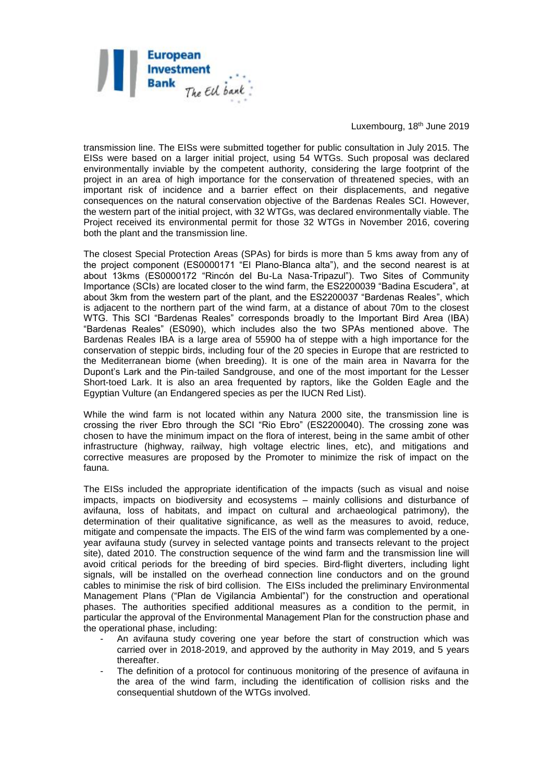

Luxembourg, 18th June 2019

transmission line. The EISs were submitted together for public consultation in July 2015. The EISs were based on a larger initial project, using 54 WTGs. Such proposal was declared environmentally inviable by the competent authority, considering the large footprint of the project in an area of high importance for the conservation of threatened species, with an important risk of incidence and a barrier effect on their displacements, and negative consequences on the natural conservation objective of the Bardenas Reales SCI. However, the western part of the initial project, with 32 WTGs, was declared environmentally viable. The Project received its environmental permit for those 32 WTGs in November 2016, covering both the plant and the transmission line.

The closest Special Protection Areas (SPAs) for birds is more than 5 kms away from any of the project component (ES0000171 "El Plano-Blanca alta"), and the second nearest is at about 13kms (ES0000172 "Rincón del Bu-La Nasa-Tripazul"). Two Sites of Community Importance (SCIs) are located closer to the wind farm, the ES2200039 "Badina Escudera", at about 3km from the western part of the plant, and the ES2200037 "Bardenas Reales", which is adjacent to the northern part of the wind farm, at a distance of about 70m to the closest WTG. This SCI "Bardenas Reales" corresponds broadly to the Important Bird Area (IBA) "Bardenas Reales" (ES090), which includes also the two SPAs mentioned above. The Bardenas Reales IBA is a large area of 55900 ha of steppe with a high importance for the conservation of steppic birds, including four of the 20 species in Europe that are restricted to the Mediterranean biome (when breeding). It is one of the main area in Navarra for the Dupont's Lark and the Pin-tailed Sandgrouse, and one of the most important for the Lesser Short-toed Lark. It is also an area frequented by raptors, like the Golden Eagle and the Egyptian Vulture (an Endangered species as per the IUCN Red List).

While the wind farm is not located within any Natura 2000 site, the transmission line is crossing the river Ebro through the SCI "Rio Ebro" (ES2200040). The crossing zone was chosen to have the minimum impact on the flora of interest, being in the same ambit of other infrastructure (highway, railway, high voltage electric lines, etc), and mitigations and corrective measures are proposed by the Promoter to minimize the risk of impact on the fauna.

The EISs included the appropriate identification of the impacts (such as visual and noise impacts, impacts on biodiversity and ecosystems – mainly collisions and disturbance of avifauna, loss of habitats, and impact on cultural and archaeological patrimony), the determination of their qualitative significance, as well as the measures to avoid, reduce, mitigate and compensate the impacts. The EIS of the wind farm was complemented by a oneyear avifauna study (survey in selected vantage points and transects relevant to the project site), dated 2010. The construction sequence of the wind farm and the transmission line will avoid critical periods for the breeding of bird species. Bird-flight diverters, including light signals, will be installed on the overhead connection line conductors and on the ground cables to minimise the risk of bird collision. The EISs included the preliminary Environmental Management Plans ("Plan de Vigilancia Ambiental") for the construction and operational phases. The authorities specified additional measures as a condition to the permit, in particular the approval of the Environmental Management Plan for the construction phase and the operational phase, including:

- An avifauna study covering one year before the start of construction which was carried over in 2018-2019, and approved by the authority in May 2019, and 5 years thereafter.
- The definition of a protocol for continuous monitoring of the presence of avifauna in the area of the wind farm, including the identification of collision risks and the consequential shutdown of the WTGs involved.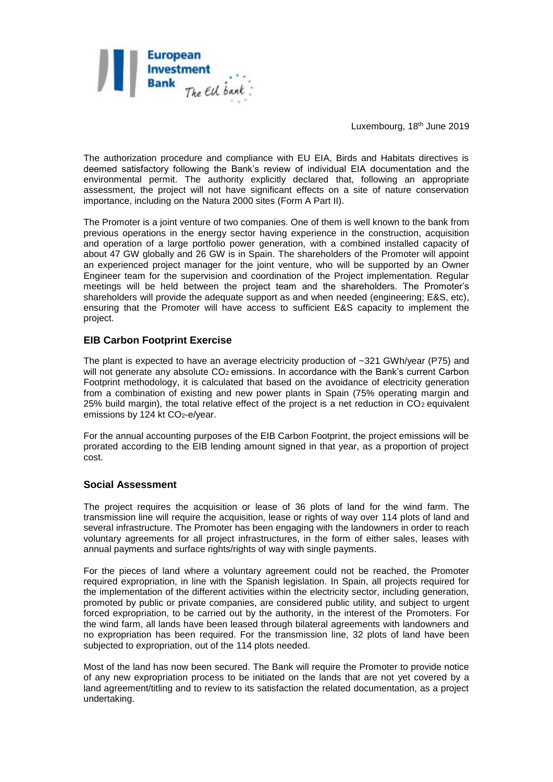

Luxembourg, 18th June 2019

The authorization procedure and compliance with EU EIA, Birds and Habitats directives is deemed satisfactory following the Bank's review of individual EIA documentation and the environmental permit. The authority explicitly declared that, following an appropriate assessment, the project will not have significant effects on a site of nature conservation importance, including on the Natura 2000 sites (Form A Part II).

The Promoter is a joint venture of two companies. One of them is well known to the bank from previous operations in the energy sector having experience in the construction, acquisition and operation of a large portfolio power generation, with a combined installed capacity of about 47 GW globally and 26 GW is in Spain. The shareholders of the Promoter will appoint an experienced project manager for the joint venture, who will be supported by an Owner Engineer team for the supervision and coordination of the Project implementation. Regular meetings will be held between the project team and the shareholders. The Promoter's shareholders will provide the adequate support as and when needed (engineering; E&S, etc), ensuring that the Promoter will have access to sufficient E&S capacity to implement the project.

### **EIB Carbon Footprint Exercise**

The plant is expected to have an average electricity production of  $\sim$ 321 GWh/year (P75) and will not generate any absolute CO<sub>2</sub> emissions. In accordance with the Bank's current Carbon Footprint methodology, it is calculated that based on the avoidance of electricity generation from a combination of existing and new power plants in Spain (75% operating margin and  $25%$  build margin), the total relative effect of the project is a net reduction in CO<sub>2</sub> equivalent emissions by 124 kt CO<sub>2</sub>-e/year.

For the annual accounting purposes of the EIB Carbon Footprint, the project emissions will be prorated according to the EIB lending amount signed in that year, as a proportion of project cost.

#### **Social Assessment**

The project requires the acquisition or lease of 36 plots of land for the wind farm. The transmission line will require the acquisition, lease or rights of way over 114 plots of land and several infrastructure. The Promoter has been engaging with the landowners in order to reach voluntary agreements for all project infrastructures, in the form of either sales, leases with annual payments and surface rights/rights of way with single payments.

For the pieces of land where a voluntary agreement could not be reached, the Promoter required expropriation, in line with the Spanish legislation. In Spain, all projects required for the implementation of the different activities within the electricity sector, including generation, promoted by public or private companies, are considered public utility, and subject to urgent forced expropriation, to be carried out by the authority, in the interest of the Promoters. For the wind farm, all lands have been leased through bilateral agreements with landowners and no expropriation has been required. For the transmission line, 32 plots of land have been subjected to expropriation, out of the 114 plots needed.

Most of the land has now been secured. The Bank will require the Promoter to provide notice of any new expropriation process to be initiated on the lands that are not yet covered by a land agreement/titling and to review to its satisfaction the related documentation, as a project undertaking.